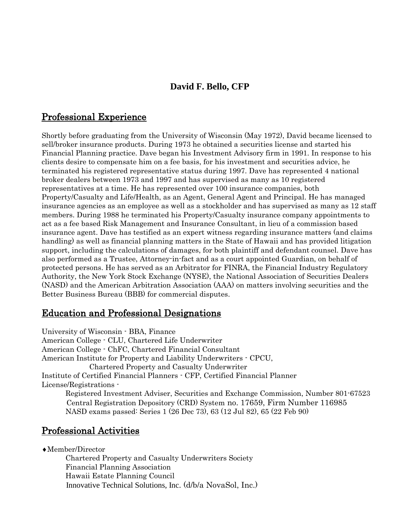## **David F. Bello, CFP**

### Professional Experience

Shortly before graduating from the University of Wisconsin (May 1972), David became licensed to sell/broker insurance products. During 1973 he obtained a securities license and started his Financial Planning practice. Dave began his Investment Advisory firm in 1991. In response to his clients desire to compensate him on a fee basis, for his investment and securities advice, he terminated his registered representative status during 1997. Dave has represented 4 national broker dealers between 1973 and 1997 and has supervised as many as 10 registered representatives at a time. He has represented over 100 insurance companies, both Property/Casualty and Life/Health, as an Agent, General Agent and Principal. He has managed insurance agencies as an employee as well as a stockholder and has supervised as many as 12 staff members. During 1988 he terminated his Property/Casualty insurance company appointments to act as a fee based Risk Management and Insurance Consultant, in lieu of a commission based insurance agent. Dave has testified as an expert witness regarding insurance matters (and claims handling) as well as financial planning matters in the State of Hawaii and has provided litigation support, including the calculations of damages, for both plaintiff and defendant counsel. Dave has also performed as a Trustee, Attorney-in-fact and as a court appointed Guardian, on behalf of protected persons. He has served as an Arbitrator for FINRA, the Financial Industry Regulatory Authority, the New York Stock Exchange (NYSE), the National Association of Securities Dealers (NASD) and the American Arbitration Association (AAA) on matters involving securities and the Better Business Bureau (BBB) for commercial disputes.

# Education and Professional Designations

University of Wisconsin - BBA, Finance American College - CLU, Chartered Life Underwriter American College - ChFC, Chartered Financial Consultant American Institute for Property and Liability Underwriters - CPCU, Chartered Property and Casualty Underwriter Institute of Certified Financial Planners - CFP, Certified Financial Planner License/Registrations - Registered Investment Adviser, Securities and Exchange Commission, Number 801-67523 Central Registration Depository (CRD) System no. 17659, Firm Number 116985 NASD exams passed: Series 1 (26 Dec 73), 63 (12 Jul 82), 65 (22 Feb 90)

### Professional Activities

Member/Director

Chartered Property and Casualty Underwriters Society Financial Planning Association Hawaii Estate Planning Council Innovative Technical Solutions, Inc. (d/b/a NovaSol, Inc.)